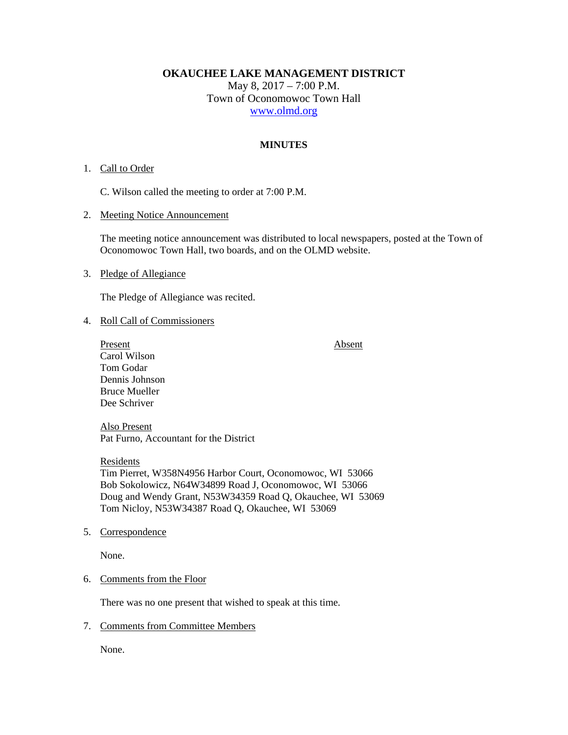**OKAUCHEE LAKE MANAGEMENT DISTRICT**  May 8, 2017 – 7:00 P.M. Town of Oconomowoc Town Hall www.olmd.org

# **MINUTES**

# 1. Call to Order

C. Wilson called the meeting to order at 7:00 P.M.

#### 2. Meeting Notice Announcement

The meeting notice announcement was distributed to local newspapers, posted at the Town of Oconomowoc Town Hall, two boards, and on the OLMD website.

#### 3. Pledge of Allegiance

The Pledge of Allegiance was recited.

### 4. Roll Call of Commissioners

Present Absent Carol Wilson Tom Godar Dennis Johnson Bruce Mueller Dee Schriver

Also Present Pat Furno, Accountant for the District

Residents Tim Pierret, W358N4956 Harbor Court, Oconomowoc, WI 53066 Bob Sokolowicz, N64W34899 Road J, Oconomowoc, WI 53066 Doug and Wendy Grant, N53W34359 Road Q, Okauchee, WI 53069 Tom Nicloy, N53W34387 Road Q, Okauchee, WI 53069

5. Correspondence

None.

### 6. Comments from the Floor

There was no one present that wished to speak at this time.

## 7. Comments from Committee Members

None.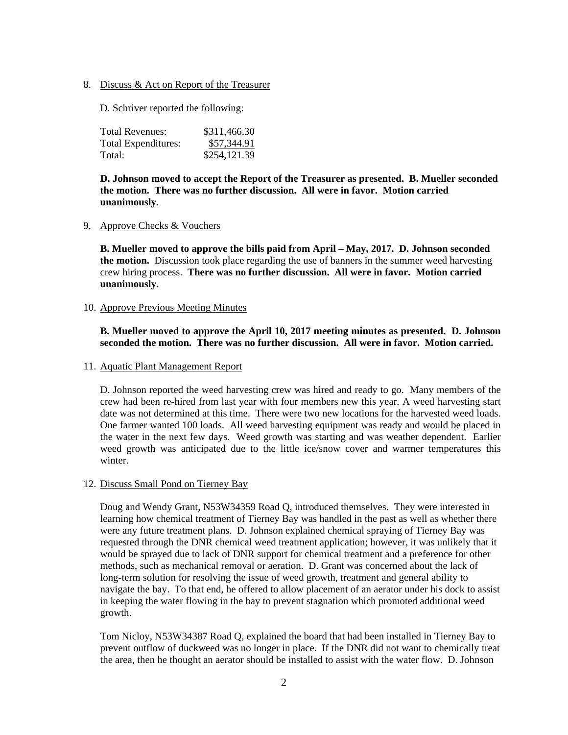8. Discuss & Act on Report of the Treasurer

D. Schriver reported the following:

| Total Revenues:     | \$311,466.30 |
|---------------------|--------------|
| Total Expenditures: | \$57,344.91  |
| Total:              | \$254,121.39 |

**D. Johnson moved to accept the Report of the Treasurer as presented. B. Mueller seconded the motion. There was no further discussion. All were in favor. Motion carried unanimously.** 

### 9. Approve Checks & Vouchers

**B. Mueller moved to approve the bills paid from April – May, 2017. D. Johnson seconded the motion.** Discussion took place regarding the use of banners in the summer weed harvesting crew hiring process. **There was no further discussion. All were in favor. Motion carried unanimously.** 

## 10. Approve Previous Meeting Minutes

# **B. Mueller moved to approve the April 10, 2017 meeting minutes as presented. D. Johnson seconded the motion. There was no further discussion. All were in favor. Motion carried.**

## 11. Aquatic Plant Management Report

D. Johnson reported the weed harvesting crew was hired and ready to go. Many members of the crew had been re-hired from last year with four members new this year. A weed harvesting start date was not determined at this time. There were two new locations for the harvested weed loads. One farmer wanted 100 loads. All weed harvesting equipment was ready and would be placed in the water in the next few days. Weed growth was starting and was weather dependent. Earlier weed growth was anticipated due to the little ice/snow cover and warmer temperatures this winter.

# 12. Discuss Small Pond on Tierney Bay

Doug and Wendy Grant, N53W34359 Road Q, introduced themselves. They were interested in learning how chemical treatment of Tierney Bay was handled in the past as well as whether there were any future treatment plans. D. Johnson explained chemical spraying of Tierney Bay was requested through the DNR chemical weed treatment application; however, it was unlikely that it would be sprayed due to lack of DNR support for chemical treatment and a preference for other methods, such as mechanical removal or aeration. D. Grant was concerned about the lack of long-term solution for resolving the issue of weed growth, treatment and general ability to navigate the bay. To that end, he offered to allow placement of an aerator under his dock to assist in keeping the water flowing in the bay to prevent stagnation which promoted additional weed growth.

Tom Nicloy, N53W34387 Road Q, explained the board that had been installed in Tierney Bay to prevent outflow of duckweed was no longer in place. If the DNR did not want to chemically treat the area, then he thought an aerator should be installed to assist with the water flow. D. Johnson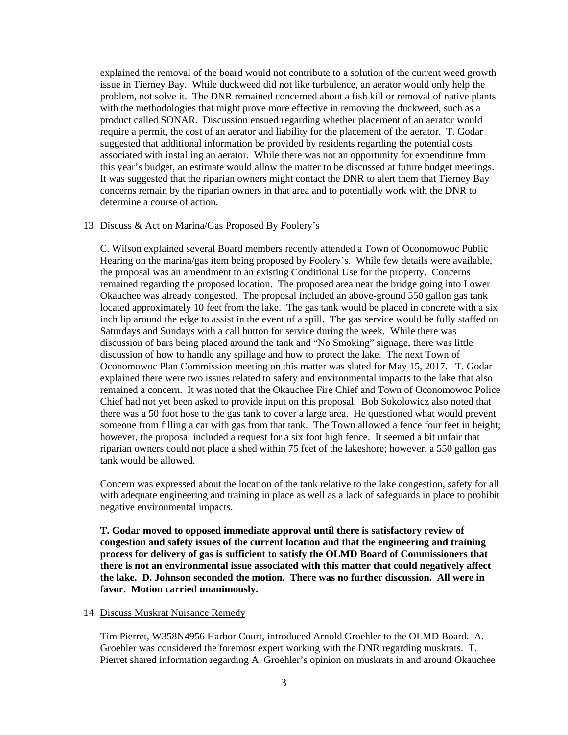explained the removal of the board would not contribute to a solution of the current weed growth issue in Tierney Bay. While duckweed did not like turbulence, an aerator would only help the problem, not solve it. The DNR remained concerned about a fish kill or removal of native plants with the methodologies that might prove more effective in removing the duckweed, such as a product called SONAR. Discussion ensued regarding whether placement of an aerator would require a permit, the cost of an aerator and liability for the placement of the aerator. T. Godar suggested that additional information be provided by residents regarding the potential costs associated with installing an aerator. While there was not an opportunity for expenditure from this year's budget, an estimate would allow the matter to be discussed at future budget meetings. It was suggested that the riparian owners might contact the DNR to alert them that Tierney Bay concerns remain by the riparian owners in that area and to potentially work with the DNR to determine a course of action.

#### 13. Discuss & Act on Marina/Gas Proposed By Foolery's

C. Wilson explained several Board members recently attended a Town of Oconomowoc Public Hearing on the marina/gas item being proposed by Foolery's. While few details were available, the proposal was an amendment to an existing Conditional Use for the property. Concerns remained regarding the proposed location. The proposed area near the bridge going into Lower Okauchee was already congested. The proposal included an above-ground 550 gallon gas tank located approximately 10 feet from the lake. The gas tank would be placed in concrete with a six inch lip around the edge to assist in the event of a spill. The gas service would be fully staffed on Saturdays and Sundays with a call button for service during the week. While there was discussion of bars being placed around the tank and "No Smoking" signage, there was little discussion of how to handle any spillage and how to protect the lake. The next Town of Oconomowoc Plan Commission meeting on this matter was slated for May 15, 2017. T. Godar explained there were two issues related to safety and environmental impacts to the lake that also remained a concern. It was noted that the Okauchee Fire Chief and Town of Oconomowoc Police Chief had not yet been asked to provide input on this proposal. Bob Sokolowicz also noted that there was a 50 foot hose to the gas tank to cover a large area. He questioned what would prevent someone from filling a car with gas from that tank. The Town allowed a fence four feet in height; however, the proposal included a request for a six foot high fence. It seemed a bit unfair that riparian owners could not place a shed within 75 feet of the lakeshore; however, a 550 gallon gas tank would be allowed.

Concern was expressed about the location of the tank relative to the lake congestion, safety for all with adequate engineering and training in place as well as a lack of safeguards in place to prohibit negative environmental impacts.

**T. Godar moved to opposed immediate approval until there is satisfactory review of congestion and safety issues of the current location and that the engineering and training process for delivery of gas is sufficient to satisfy the OLMD Board of Commissioners that there is not an environmental issue associated with this matter that could negatively affect the lake. D. Johnson seconded the motion. There was no further discussion. All were in favor. Motion carried unanimously.** 

## 14. Discuss Muskrat Nuisance Remedy

Tim Pierret, W358N4956 Harbor Court, introduced Arnold Groehler to the OLMD Board. A. Groehler was considered the foremost expert working with the DNR regarding muskrats. T. Pierret shared information regarding A. Groehler's opinion on muskrats in and around Okauchee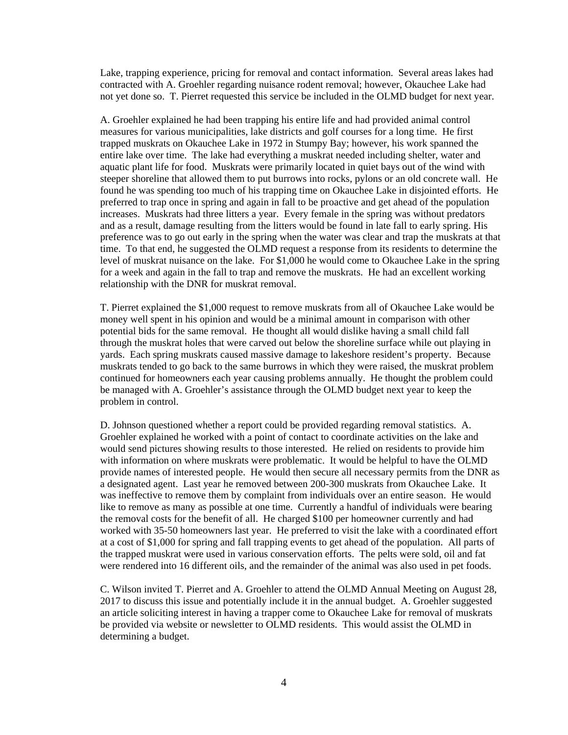Lake, trapping experience, pricing for removal and contact information. Several areas lakes had contracted with A. Groehler regarding nuisance rodent removal; however, Okauchee Lake had not yet done so. T. Pierret requested this service be included in the OLMD budget for next year.

A. Groehler explained he had been trapping his entire life and had provided animal control measures for various municipalities, lake districts and golf courses for a long time. He first trapped muskrats on Okauchee Lake in 1972 in Stumpy Bay; however, his work spanned the entire lake over time. The lake had everything a muskrat needed including shelter, water and aquatic plant life for food. Muskrats were primarily located in quiet bays out of the wind with steeper shoreline that allowed them to put burrows into rocks, pylons or an old concrete wall. He found he was spending too much of his trapping time on Okauchee Lake in disjointed efforts. He preferred to trap once in spring and again in fall to be proactive and get ahead of the population increases. Muskrats had three litters a year. Every female in the spring was without predators and as a result, damage resulting from the litters would be found in late fall to early spring. His preference was to go out early in the spring when the water was clear and trap the muskrats at that time. To that end, he suggested the OLMD request a response from its residents to determine the level of muskrat nuisance on the lake. For \$1,000 he would come to Okauchee Lake in the spring for a week and again in the fall to trap and remove the muskrats. He had an excellent working relationship with the DNR for muskrat removal.

T. Pierret explained the \$1,000 request to remove muskrats from all of Okauchee Lake would be money well spent in his opinion and would be a minimal amount in comparison with other potential bids for the same removal. He thought all would dislike having a small child fall through the muskrat holes that were carved out below the shoreline surface while out playing in yards. Each spring muskrats caused massive damage to lakeshore resident's property. Because muskrats tended to go back to the same burrows in which they were raised, the muskrat problem continued for homeowners each year causing problems annually. He thought the problem could be managed with A. Groehler's assistance through the OLMD budget next year to keep the problem in control.

D. Johnson questioned whether a report could be provided regarding removal statistics. A. Groehler explained he worked with a point of contact to coordinate activities on the lake and would send pictures showing results to those interested. He relied on residents to provide him with information on where muskrats were problematic. It would be helpful to have the OLMD provide names of interested people. He would then secure all necessary permits from the DNR as a designated agent. Last year he removed between 200-300 muskrats from Okauchee Lake. It was ineffective to remove them by complaint from individuals over an entire season. He would like to remove as many as possible at one time. Currently a handful of individuals were bearing the removal costs for the benefit of all. He charged \$100 per homeowner currently and had worked with 35-50 homeowners last year. He preferred to visit the lake with a coordinated effort at a cost of \$1,000 for spring and fall trapping events to get ahead of the population. All parts of the trapped muskrat were used in various conservation efforts. The pelts were sold, oil and fat were rendered into 16 different oils, and the remainder of the animal was also used in pet foods.

C. Wilson invited T. Pierret and A. Groehler to attend the OLMD Annual Meeting on August 28, 2017 to discuss this issue and potentially include it in the annual budget. A. Groehler suggested an article soliciting interest in having a trapper come to Okauchee Lake for removal of muskrats be provided via website or newsletter to OLMD residents. This would assist the OLMD in determining a budget.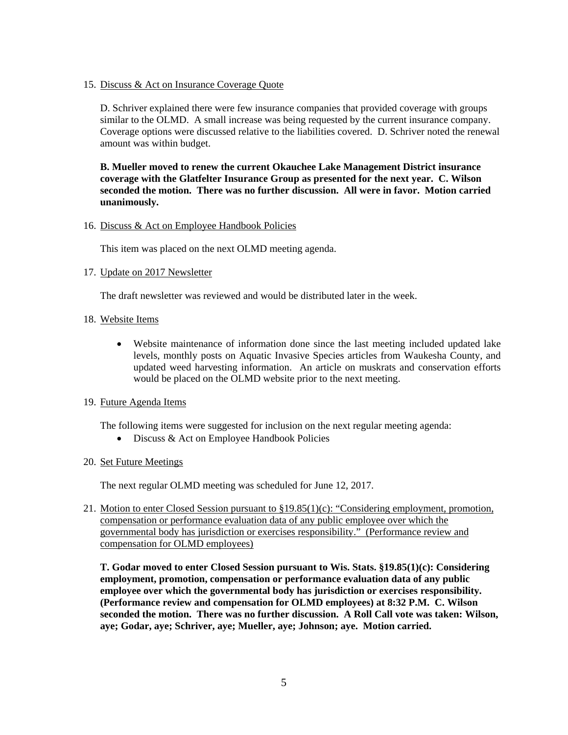15. Discuss & Act on Insurance Coverage Quote

D. Schriver explained there were few insurance companies that provided coverage with groups similar to the OLMD. A small increase was being requested by the current insurance company. Coverage options were discussed relative to the liabilities covered. D. Schriver noted the renewal amount was within budget.

**B. Mueller moved to renew the current Okauchee Lake Management District insurance coverage with the Glatfelter Insurance Group as presented for the next year. C. Wilson seconded the motion. There was no further discussion. All were in favor. Motion carried unanimously.** 

## 16. Discuss & Act on Employee Handbook Policies

This item was placed on the next OLMD meeting agenda.

## 17. Update on 2017 Newsletter

The draft newsletter was reviewed and would be distributed later in the week.

- 18. Website Items
	- Website maintenance of information done since the last meeting included updated lake levels, monthly posts on Aquatic Invasive Species articles from Waukesha County, and updated weed harvesting information. An article on muskrats and conservation efforts would be placed on the OLMD website prior to the next meeting.

### 19. Future Agenda Items

The following items were suggested for inclusion on the next regular meeting agenda:

• Discuss & Act on Employee Handbook Policies

### 20. Set Future Meetings

The next regular OLMD meeting was scheduled for June 12, 2017.

21. Motion to enter Closed Session pursuant to §19.85(1)(c): "Considering employment, promotion, compensation or performance evaluation data of any public employee over which the governmental body has jurisdiction or exercises responsibility." (Performance review and compensation for OLMD employees)

**T. Godar moved to enter Closed Session pursuant to Wis. Stats. §19.85(1)(c): Considering employment, promotion, compensation or performance evaluation data of any public employee over which the governmental body has jurisdiction or exercises responsibility. (Performance review and compensation for OLMD employees) at 8:32 P.M. C. Wilson seconded the motion. There was no further discussion. A Roll Call vote was taken: Wilson, aye; Godar, aye; Schriver, aye; Mueller, aye; Johnson; aye. Motion carried.**